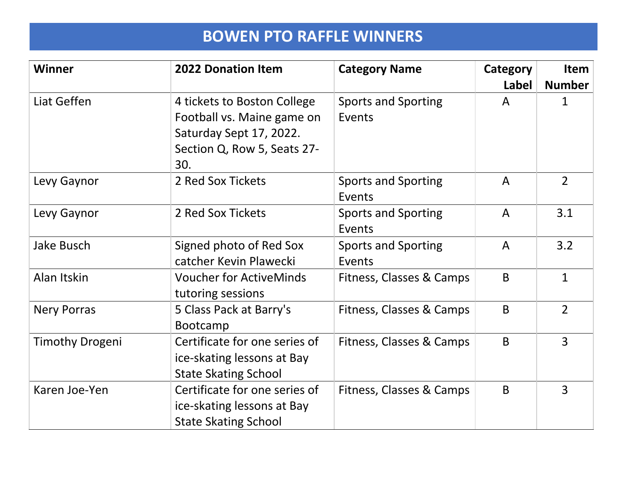| <b>Winner</b>          | <b>2022 Donation Item</b>      | <b>Category Name</b>       | Category     | <b>Item</b>    |
|------------------------|--------------------------------|----------------------------|--------------|----------------|
|                        |                                |                            | <b>Label</b> | <b>Number</b>  |
| Liat Geffen            | 4 tickets to Boston College    | <b>Sports and Sporting</b> | A            | 1              |
|                        | Football vs. Maine game on     | Events                     |              |                |
|                        | Saturday Sept 17, 2022.        |                            |              |                |
|                        | Section Q, Row 5, Seats 27-    |                            |              |                |
|                        | 30.                            |                            |              |                |
| Levy Gaynor            | 2 Red Sox Tickets              | <b>Sports and Sporting</b> | $\mathsf{A}$ | $\overline{2}$ |
|                        |                                | Events                     |              |                |
| Levy Gaynor            | 2 Red Sox Tickets              | <b>Sports and Sporting</b> | $\mathsf{A}$ | 3.1            |
|                        |                                | Events                     |              |                |
| <b>Jake Busch</b>      | Signed photo of Red Sox        | <b>Sports and Sporting</b> | A            | 3.2            |
|                        | catcher Kevin Plawecki         | Events                     |              |                |
| Alan Itskin            | <b>Voucher for ActiveMinds</b> | Fitness, Classes & Camps   | B            | $\mathbf{1}$   |
|                        | tutoring sessions              |                            |              |                |
| <b>Nery Porras</b>     | 5 Class Pack at Barry's        | Fitness, Classes & Camps   | B            | $\overline{2}$ |
|                        | <b>Bootcamp</b>                |                            |              |                |
| <b>Timothy Drogeni</b> | Certificate for one series of  | Fitness, Classes & Camps   | B            | $\overline{3}$ |
|                        | ice-skating lessons at Bay     |                            |              |                |
|                        | <b>State Skating School</b>    |                            |              |                |
| Karen Joe-Yen          | Certificate for one series of  | Fitness, Classes & Camps   | B            | 3              |
|                        | ice-skating lessons at Bay     |                            |              |                |
|                        | <b>State Skating School</b>    |                            |              |                |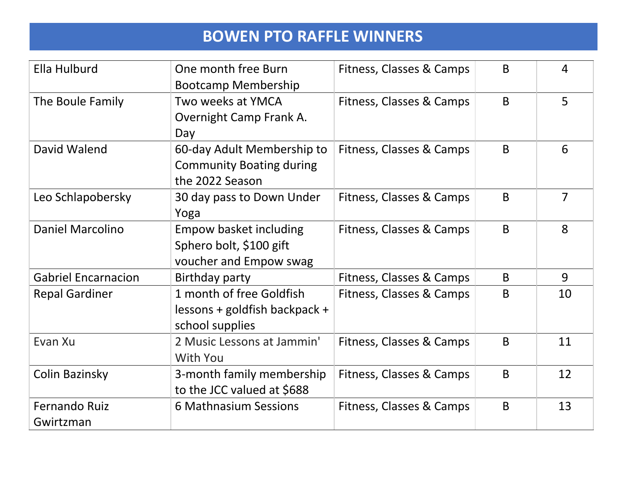| <b>Ella Hulburd</b>        | One month free Burn             | Fitness, Classes & Camps | B | 4  |
|----------------------------|---------------------------------|--------------------------|---|----|
|                            | <b>Bootcamp Membership</b>      |                          |   |    |
| The Boule Family           | Two weeks at YMCA               | Fitness, Classes & Camps | B | 5  |
|                            | Overnight Camp Frank A.         |                          |   |    |
|                            | Day                             |                          |   |    |
| David Walend               | 60-day Adult Membership to      | Fitness, Classes & Camps | B | 6  |
|                            | <b>Community Boating during</b> |                          |   |    |
|                            | the 2022 Season                 |                          |   |    |
| Leo Schlapobersky          | 30 day pass to Down Under       | Fitness, Classes & Camps | B | 7  |
|                            | Yoga                            |                          |   |    |
| <b>Daniel Marcolino</b>    | Empow basket including          | Fitness, Classes & Camps | B | 8  |
|                            | Sphero bolt, \$100 gift         |                          |   |    |
|                            | voucher and Empow swag          |                          |   |    |
| <b>Gabriel Encarnacion</b> | <b>Birthday party</b>           | Fitness, Classes & Camps | B | 9  |
| <b>Repal Gardiner</b>      | 1 month of free Goldfish        | Fitness, Classes & Camps | B | 10 |
|                            | lessons + goldfish backpack +   |                          |   |    |
|                            | school supplies                 |                          |   |    |
| Evan Xu                    | 2 Music Lessons at Jammin'      | Fitness, Classes & Camps | B | 11 |
|                            | <b>With You</b>                 |                          |   |    |
| Colin Bazinsky             | 3-month family membership       | Fitness, Classes & Camps | B | 12 |
|                            | to the JCC valued at \$688      |                          |   |    |
| <b>Fernando Ruiz</b>       | 6 Mathnasium Sessions           | Fitness, Classes & Camps | B | 13 |
| Gwirtzman                  |                                 |                          |   |    |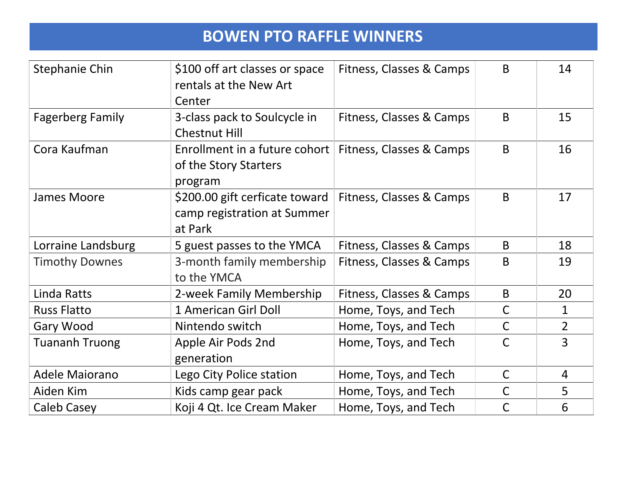| <b>Stephanie Chin</b>   | \$100 off art classes or space<br>rentals at the New Art<br>Center       | Fitness, Classes & Camps | B            | 14             |
|-------------------------|--------------------------------------------------------------------------|--------------------------|--------------|----------------|
| <b>Fagerberg Family</b> | 3-class pack to Soulcycle in<br><b>Chestnut Hill</b>                     | Fitness, Classes & Camps | B            | 15             |
| Cora Kaufman            | Enrollment in a future cohort<br>of the Story Starters<br>program        | Fitness, Classes & Camps | B            | 16             |
| <b>James Moore</b>      | \$200.00 gift cerficate toward<br>camp registration at Summer<br>at Park | Fitness, Classes & Camps | B            | 17             |
| Lorraine Landsburg      | 5 guest passes to the YMCA                                               | Fitness, Classes & Camps | B            | 18             |
| <b>Timothy Downes</b>   | 3-month family membership<br>to the YMCA                                 | Fitness, Classes & Camps | B            | 19             |
| Linda Ratts             | 2-week Family Membership                                                 | Fitness, Classes & Camps | B            | 20             |
| <b>Russ Flatto</b>      | 1 American Girl Doll                                                     | Home, Toys, and Tech     | $\mathsf{C}$ | $\mathbf{1}$   |
| Gary Wood               | Nintendo switch                                                          | Home, Toys, and Tech     | $\mathsf{C}$ | $\overline{2}$ |
| <b>Tuananh Truong</b>   | Apple Air Pods 2nd<br>generation                                         | Home, Toys, and Tech     | C            | $\overline{3}$ |
| <b>Adele Maiorano</b>   | Lego City Police station                                                 | Home, Toys, and Tech     | $\mathsf{C}$ | $\overline{4}$ |
| Aiden Kim               | Kids camp gear pack                                                      | Home, Toys, and Tech     | C            | 5              |
| Caleb Casey             | Koji 4 Qt. Ice Cream Maker                                               | Home, Toys, and Tech     | $\mathsf{C}$ | 6              |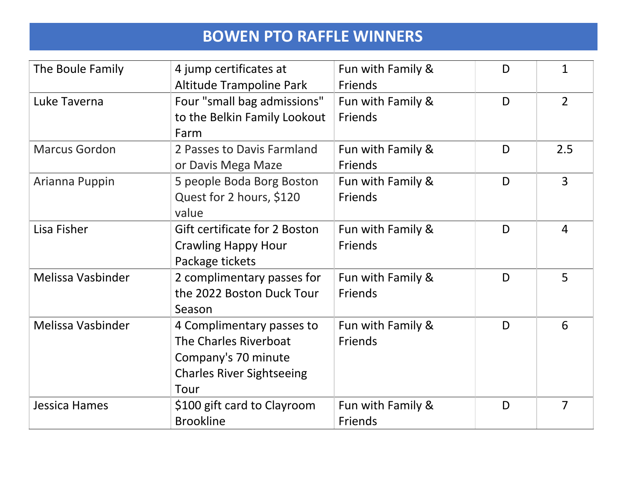| The Boule Family     | 4 jump certificates at           | Fun with Family & | D | 1              |
|----------------------|----------------------------------|-------------------|---|----------------|
|                      | <b>Altitude Trampoline Park</b>  | <b>Friends</b>    |   |                |
| Luke Taverna         | Four "small bag admissions"      | Fun with Family & | D | $\overline{2}$ |
|                      | to the Belkin Family Lookout     | Friends           |   |                |
|                      | Farm                             |                   |   |                |
| <b>Marcus Gordon</b> | 2 Passes to Davis Farmland       | Fun with Family & | D | 2.5            |
|                      | or Davis Mega Maze               | <b>Friends</b>    |   |                |
| Arianna Puppin       | 5 people Boda Borg Boston        | Fun with Family & | D | $\overline{3}$ |
|                      | Quest for 2 hours, \$120         | Friends           |   |                |
|                      | value                            |                   |   |                |
| Lisa Fisher          | Gift certificate for 2 Boston    | Fun with Family & | D | $\overline{4}$ |
|                      | <b>Crawling Happy Hour</b>       | Friends           |   |                |
|                      | Package tickets                  |                   |   |                |
| Melissa Vasbinder    | 2 complimentary passes for       | Fun with Family & | D | 5              |
|                      | the 2022 Boston Duck Tour        | <b>Friends</b>    |   |                |
|                      | Season                           |                   |   |                |
| Melissa Vasbinder    | 4 Complimentary passes to        | Fun with Family & | D | 6              |
|                      | The Charles Riverboat            | <b>Friends</b>    |   |                |
|                      | Company's 70 minute              |                   |   |                |
|                      | <b>Charles River Sightseeing</b> |                   |   |                |
|                      | Tour                             |                   |   |                |
| Jessica Hames        | \$100 gift card to Clayroom      | Fun with Family & | D | $\overline{7}$ |
|                      | <b>Brookline</b>                 | <b>Friends</b>    |   |                |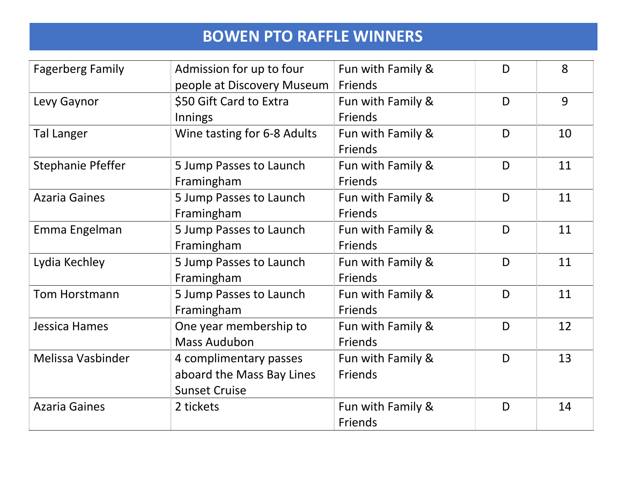| <b>Fagerberg Family</b>  | Admission for up to four    | Fun with Family & | D | 8  |
|--------------------------|-----------------------------|-------------------|---|----|
|                          | people at Discovery Museum  | Friends           |   |    |
| Levy Gaynor              | \$50 Gift Card to Extra     | Fun with Family & | D | 9  |
|                          | Innings                     | Friends           |   |    |
| Tal Langer               | Wine tasting for 6-8 Adults | Fun with Family & | D | 10 |
|                          |                             | Friends           |   |    |
| <b>Stephanie Pfeffer</b> | 5 Jump Passes to Launch     | Fun with Family & | D | 11 |
|                          | Framingham                  | <b>Friends</b>    |   |    |
| <b>Azaria Gaines</b>     | 5 Jump Passes to Launch     | Fun with Family & | D | 11 |
|                          | Framingham                  | <b>Friends</b>    |   |    |
| Emma Engelman            | 5 Jump Passes to Launch     | Fun with Family & | D | 11 |
|                          | Framingham                  | Friends           |   |    |
| Lydia Kechley            | 5 Jump Passes to Launch     | Fun with Family & | D | 11 |
|                          | Framingham                  | Friends           |   |    |
| <b>Tom Horstmann</b>     | 5 Jump Passes to Launch     | Fun with Family & | D | 11 |
|                          | Framingham                  | <b>Friends</b>    |   |    |
| Jessica Hames            | One year membership to      | Fun with Family & | D | 12 |
|                          | <b>Mass Audubon</b>         | Friends           |   |    |
| Melissa Vasbinder        | 4 complimentary passes      | Fun with Family & | D | 13 |
|                          | aboard the Mass Bay Lines   | Friends           |   |    |
|                          | <b>Sunset Cruise</b>        |                   |   |    |
| <b>Azaria Gaines</b>     | 2 tickets                   | Fun with Family & | D | 14 |
|                          |                             | <b>Friends</b>    |   |    |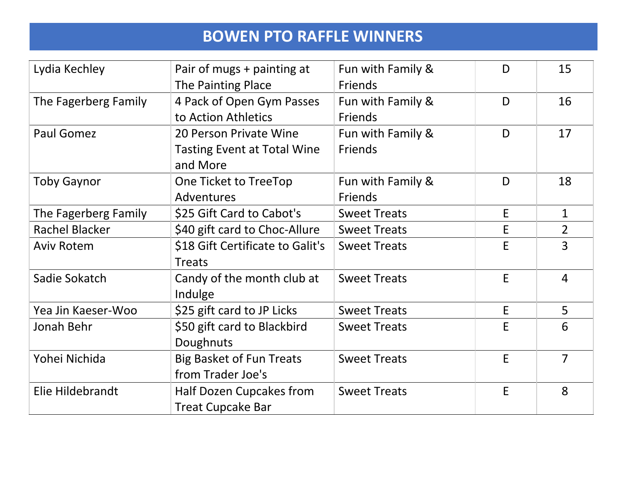| Lydia Kechley         | Pair of mugs + painting at         | Fun with Family &   | D | 15             |
|-----------------------|------------------------------------|---------------------|---|----------------|
|                       | <b>The Painting Place</b>          | Friends             |   |                |
| The Fagerberg Family  | 4 Pack of Open Gym Passes          | Fun with Family &   | D | 16             |
|                       | to Action Athletics                | Friends             |   |                |
| <b>Paul Gomez</b>     | 20 Person Private Wine             | Fun with Family &   | D | 17             |
|                       | <b>Tasting Event at Total Wine</b> | Friends             |   |                |
|                       | and More                           |                     |   |                |
| <b>Toby Gaynor</b>    | One Ticket to TreeTop              | Fun with Family &   | D | 18             |
|                       | <b>Adventures</b>                  | <b>Friends</b>      |   |                |
| The Fagerberg Family  | \$25 Gift Card to Cabot's          | <b>Sweet Treats</b> | E | $\mathbf{1}$   |
| <b>Rachel Blacker</b> | \$40 gift card to Choc-Allure      | <b>Sweet Treats</b> | E | $\overline{2}$ |
| <b>Aviv Rotem</b>     | \$18 Gift Certificate to Galit's   | <b>Sweet Treats</b> | E | 3              |
|                       | <b>Treats</b>                      |                     |   |                |
| Sadie Sokatch         | Candy of the month club at         | <b>Sweet Treats</b> | E | $\overline{4}$ |
|                       | Indulge                            |                     |   |                |
| Yea Jin Kaeser-Woo    | \$25 gift card to JP Licks         | <b>Sweet Treats</b> | E | 5              |
| Jonah Behr            | \$50 gift card to Blackbird        | <b>Sweet Treats</b> | E | 6              |
|                       | Doughnuts                          |                     |   |                |
| Yohei Nichida         | <b>Big Basket of Fun Treats</b>    | <b>Sweet Treats</b> | E | $\overline{7}$ |
|                       | from Trader Joe's                  |                     |   |                |
| Elie Hildebrandt      | Half Dozen Cupcakes from           | <b>Sweet Treats</b> | E | 8              |
|                       | <b>Treat Cupcake Bar</b>           |                     |   |                |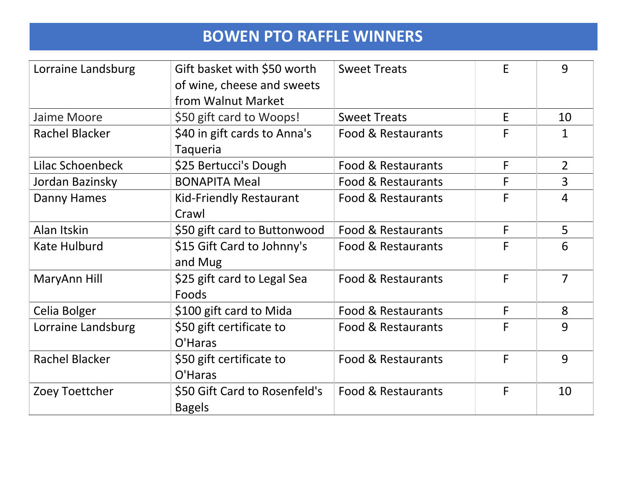| Lorraine Landsburg    | Gift basket with \$50 worth    | <b>Sweet Treats</b> | E | 9              |
|-----------------------|--------------------------------|---------------------|---|----------------|
|                       | of wine, cheese and sweets     |                     |   |                |
|                       | from Walnut Market             |                     |   |                |
| Jaime Moore           | \$50 gift card to Woops!       | <b>Sweet Treats</b> | E | 10             |
| <b>Rachel Blacker</b> | \$40 in gift cards to Anna's   | Food & Restaurants  | F | 1              |
|                       | <b>Taqueria</b>                |                     |   |                |
| Lilac Schoenbeck      | \$25 Bertucci's Dough          | Food & Restaurants  | F | $\overline{2}$ |
| Jordan Bazinsky       | <b>BONAPITA Meal</b>           | Food & Restaurants  | F | $\overline{3}$ |
| Danny Hames           | <b>Kid-Friendly Restaurant</b> | Food & Restaurants  | F | $\overline{4}$ |
|                       | Crawl                          |                     |   |                |
| Alan Itskin           | \$50 gift card to Buttonwood   | Food & Restaurants  | F | 5              |
| Kate Hulburd          | \$15 Gift Card to Johnny's     | Food & Restaurants  | F | 6              |
|                       | and Mug                        |                     |   |                |
| MaryAnn Hill          | \$25 gift card to Legal Sea    | Food & Restaurants  | F | $\overline{7}$ |
|                       | Foods                          |                     |   |                |
| Celia Bolger          | \$100 gift card to Mida        | Food & Restaurants  | F | 8              |
| Lorraine Landsburg    | \$50 gift certificate to       | Food & Restaurants  | F | 9              |
|                       | O'Haras                        |                     |   |                |
| <b>Rachel Blacker</b> | \$50 gift certificate to       | Food & Restaurants  | F | 9              |
|                       | O'Haras                        |                     |   |                |
| Zoey Toettcher        | \$50 Gift Card to Rosenfeld's  | Food & Restaurants  | F | 10             |
|                       | <b>Bagels</b>                  |                     |   |                |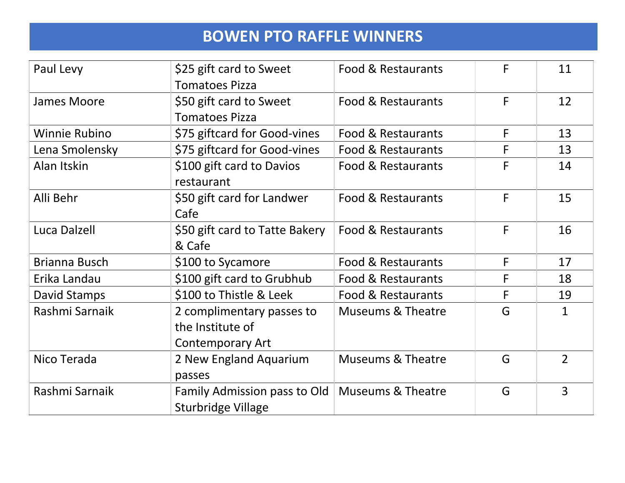| Paul Levy            | \$25 gift card to Sweet        | Food & Restaurants           | F | 11             |
|----------------------|--------------------------------|------------------------------|---|----------------|
|                      | <b>Tomatoes Pizza</b>          |                              |   |                |
| James Moore          | \$50 gift card to Sweet        | Food & Restaurants           | F | 12             |
|                      | <b>Tomatoes Pizza</b>          |                              |   |                |
| <b>Winnie Rubino</b> | \$75 giftcard for Good-vines   | Food & Restaurants           | F | 13             |
| Lena Smolensky       | \$75 giftcard for Good-vines   | Food & Restaurants           | F | 13             |
| Alan Itskin          | \$100 gift card to Davios      | Food & Restaurants           | F | 14             |
|                      | restaurant                     |                              |   |                |
| Alli Behr            | \$50 gift card for Landwer     | Food & Restaurants           | F | 15             |
|                      | Cafe                           |                              |   |                |
| Luca Dalzell         | \$50 gift card to Tatte Bakery | Food & Restaurants           | F | 16             |
|                      | & Cafe                         |                              |   |                |
| Brianna Busch        | \$100 to Sycamore              | Food & Restaurants           | F | 17             |
| Erika Landau         | \$100 gift card to Grubhub     | Food & Restaurants           | F | 18             |
| David Stamps         | \$100 to Thistle & Leek        | Food & Restaurants           | F | 19             |
| Rashmi Sarnaik       | 2 complimentary passes to      | <b>Museums &amp; Theatre</b> | G | $\mathbf{1}$   |
|                      | the Institute of               |                              |   |                |
|                      | <b>Contemporary Art</b>        |                              |   |                |
| Nico Terada          | 2 New England Aquarium         | <b>Museums &amp; Theatre</b> | G | $\overline{2}$ |
|                      | passes                         |                              |   |                |
| Rashmi Sarnaik       | Family Admission pass to Old   | <b>Museums &amp; Theatre</b> | G | $\overline{3}$ |
|                      | <b>Sturbridge Village</b>      |                              |   |                |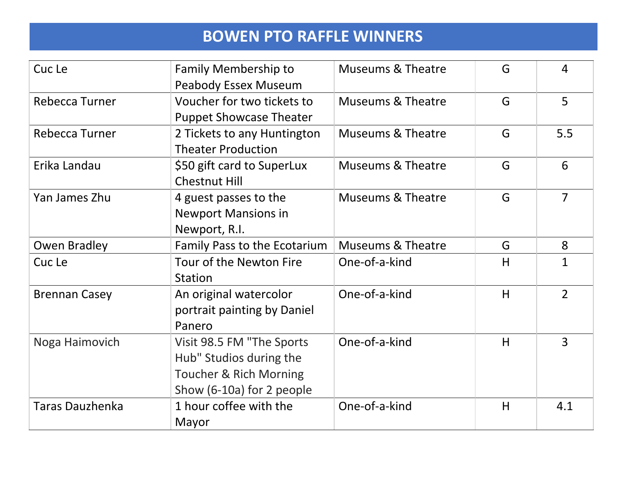| Cuc Le                 | <b>Family Membership to</b>       | <b>Museums &amp; Theatre</b> | G | $\overline{4}$ |
|------------------------|-----------------------------------|------------------------------|---|----------------|
|                        | <b>Peabody Essex Museum</b>       |                              |   |                |
| Rebecca Turner         | Voucher for two tickets to        | <b>Museums &amp; Theatre</b> | G | 5              |
|                        | <b>Puppet Showcase Theater</b>    |                              |   |                |
| Rebecca Turner         | 2 Tickets to any Huntington       | <b>Museums &amp; Theatre</b> | G | 5.5            |
|                        | <b>Theater Production</b>         |                              |   |                |
| Erika Landau           | \$50 gift card to SuperLux        | <b>Museums &amp; Theatre</b> | G | 6              |
|                        | <b>Chestnut Hill</b>              |                              |   |                |
| Yan James Zhu          | 4 guest passes to the             | <b>Museums &amp; Theatre</b> | G | $\overline{7}$ |
|                        | <b>Newport Mansions in</b>        |                              |   |                |
|                        | Newport, R.I.                     |                              |   |                |
| <b>Owen Bradley</b>    | Family Pass to the Ecotarium      | <b>Museums &amp; Theatre</b> | G | 8              |
| Cuc Le                 | Tour of the Newton Fire           | One-of-a-kind                | H | $\mathbf 1$    |
|                        | <b>Station</b>                    |                              |   |                |
| <b>Brennan Casey</b>   | An original watercolor            | One-of-a-kind                | H | $\overline{2}$ |
|                        | portrait painting by Daniel       |                              |   |                |
|                        | Panero                            |                              |   |                |
| Noga Haimovich         | Visit 98.5 FM "The Sports         | One-of-a-kind                | H | 3              |
|                        | Hub" Studios during the           |                              |   |                |
|                        | <b>Toucher &amp; Rich Morning</b> |                              |   |                |
|                        | Show (6-10a) for 2 people         |                              |   |                |
| <b>Taras Dauzhenka</b> | 1 hour coffee with the            | One-of-a-kind                | H | 4.1            |
|                        | Mayor                             |                              |   |                |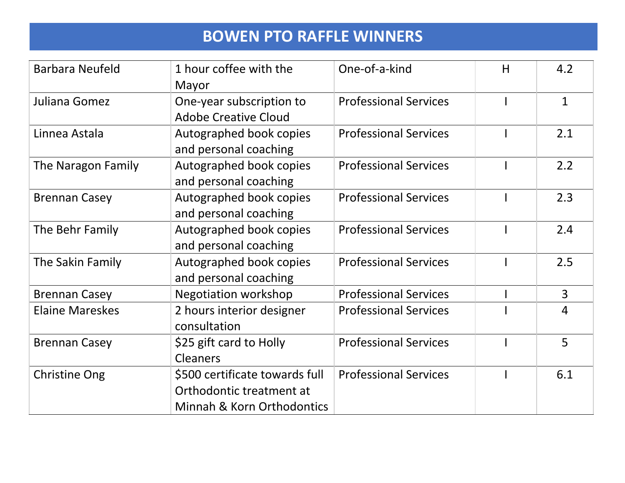| <b>Barbara Neufeld</b> | 1 hour coffee with the         | One-of-a-kind                | H | 4.2            |
|------------------------|--------------------------------|------------------------------|---|----------------|
|                        | Mayor                          |                              |   |                |
| Juliana Gomez          | One-year subscription to       | <b>Professional Services</b> |   | $\mathbf{1}$   |
|                        | <b>Adobe Creative Cloud</b>    |                              |   |                |
| Linnea Astala          | Autographed book copies        | <b>Professional Services</b> |   | 2.1            |
|                        | and personal coaching          |                              |   |                |
| The Naragon Family     | Autographed book copies        | <b>Professional Services</b> |   | 2.2            |
|                        | and personal coaching          |                              |   |                |
| <b>Brennan Casey</b>   | Autographed book copies        | <b>Professional Services</b> |   | 2.3            |
|                        | and personal coaching          |                              |   |                |
| The Behr Family        | Autographed book copies        | <b>Professional Services</b> |   | 2.4            |
|                        | and personal coaching          |                              |   |                |
| The Sakin Family       | Autographed book copies        | <b>Professional Services</b> |   | 2.5            |
|                        | and personal coaching          |                              |   |                |
| <b>Brennan Casey</b>   | <b>Negotiation workshop</b>    | <b>Professional Services</b> |   | $\overline{3}$ |
| <b>Elaine Mareskes</b> | 2 hours interior designer      | <b>Professional Services</b> |   | 4              |
|                        | consultation                   |                              |   |                |
| <b>Brennan Casey</b>   | \$25 gift card to Holly        | <b>Professional Services</b> |   | 5              |
|                        | <b>Cleaners</b>                |                              |   |                |
| <b>Christine Ong</b>   | \$500 certificate towards full | <b>Professional Services</b> |   | 6.1            |
|                        | Orthodontic treatment at       |                              |   |                |
|                        | Minnah & Korn Orthodontics     |                              |   |                |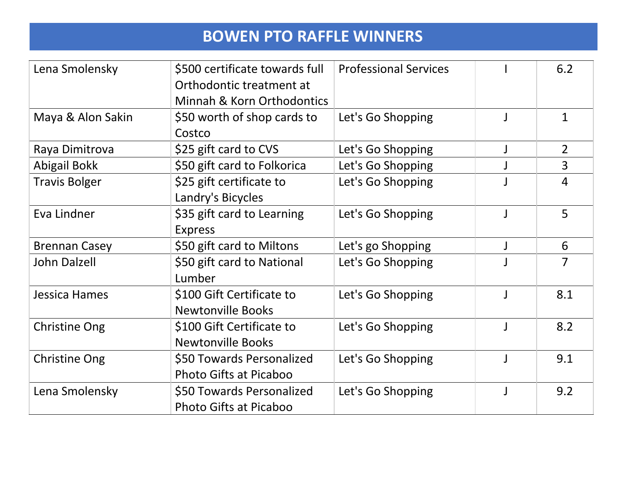| Lena Smolensky       | \$500 certificate towards full | <b>Professional Services</b> |              | 6.2            |
|----------------------|--------------------------------|------------------------------|--------------|----------------|
|                      | Orthodontic treatment at       |                              |              |                |
|                      | Minnah & Korn Orthodontics     |                              |              |                |
| Maya & Alon Sakin    | \$50 worth of shop cards to    | Let's Go Shopping            |              | $\mathbf{1}$   |
|                      | Costco                         |                              |              |                |
| Raya Dimitrova       | \$25 gift card to CVS          | Let's Go Shopping            |              | $\overline{2}$ |
| Abigail Bokk         | \$50 gift card to Folkorica    | Let's Go Shopping            |              | $\overline{3}$ |
| <b>Travis Bolger</b> | \$25 gift certificate to       | Let's Go Shopping            |              | 4              |
|                      | Landry's Bicycles              |                              |              |                |
| Eva Lindner          | \$35 gift card to Learning     | Let's Go Shopping            |              | 5              |
|                      | <b>Express</b>                 |                              |              |                |
| <b>Brennan Casey</b> | \$50 gift card to Miltons      | Let's go Shopping            |              | 6              |
| <b>John Dalzell</b>  | \$50 gift card to National     | Let's Go Shopping            |              | $\overline{7}$ |
|                      | Lumber                         |                              |              |                |
| Jessica Hames        | \$100 Gift Certificate to      | Let's Go Shopping            |              | 8.1            |
|                      | <b>Newtonville Books</b>       |                              |              |                |
| <b>Christine Ong</b> | \$100 Gift Certificate to      | Let's Go Shopping            | $\mathbf{J}$ | 8.2            |
|                      | <b>Newtonville Books</b>       |                              |              |                |
| <b>Christine Ong</b> | \$50 Towards Personalized      | Let's Go Shopping            |              | 9.1            |
|                      | Photo Gifts at Picaboo         |                              |              |                |
| Lena Smolensky       | \$50 Towards Personalized      | Let's Go Shopping            |              | 9.2            |
|                      | <b>Photo Gifts at Picaboo</b>  |                              |              |                |